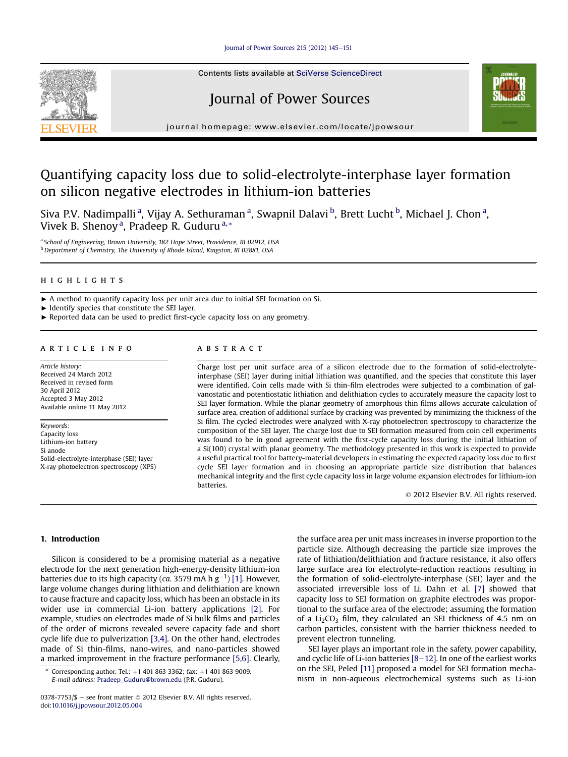#### Journal of Power Sources  $215(2012)$   $145-151$  $145-151$

Contents lists available at SciVerse ScienceDirect

# Journal of Power Sources



journal homepage: [www.elsevier.com/locate/jpowsour](http://www.elsevier.com/locate/jpowsour)

# Quantifying capacity loss due to solid-electrolyte-interphase layer formation on silicon negative electrodes in lithium-ion batteries

Siva P.V. Nadimpalli<sup>a</sup>, Vijay A. Sethuraman<sup>a</sup>, Swapnil Dalavi<sup>b</sup>, Brett Lucht<sup>b</sup>, Michael J. Chon<sup>a</sup>, Vivek B. Shenoy<sup>a</sup>, Pradeep R. Guduru<sup>a,\*</sup>

<sup>a</sup> School of Engineering, Brown University, 182 Hope Street, Providence, RI 02912, USA b Department of Chemistry, The University of Rhode Island, Kingston, RI 02881, USA

# highlights are the control of

A method to quantify capacity loss per unit area due to initial SEI formation on Si.

 $\blacktriangleright$  Identify species that constitute the SEI layer.

▶ Reported data can be used to predict first-cycle capacity loss on any geometry.

#### **ARTICLE INFO**

Article history: Received 24 March 2012 Received in revised form 30 April 2012 Accepted 3 May 2012 Available online 11 May 2012

Keywords: Capacity loss Lithium-ion battery Si anode Solid-electrolyte-interphase (SEI) layer X-ray photoelectron spectroscopy (XPS)

Charge lost per unit surface area of a silicon electrode due to the formation of solid-electrolyteinterphase (SEI) layer during initial lithiation was quantified, and the species that constitute this layer were identified. Coin cells made with Si thin-film electrodes were subjected to a combination of galvanostatic and potentiostatic lithiation and delithiation cycles to accurately measure the capacity lost to SEI layer formation. While the planar geometry of amorphous thin films allows accurate calculation of surface area, creation of additional surface by cracking was prevented by minimizing the thickness of the Si film. The cycled electrodes were analyzed with X-ray photoelectron spectroscopy to characterize the composition of the SEI layer. The charge lost due to SEI formation measured from coin cell experiments was found to be in good agreement with the first-cycle capacity loss during the initial lithiation of a Si(100) crystal with planar geometry. The methodology presented in this work is expected to provide a useful practical tool for battery-material developers in estimating the expected capacity loss due to first cycle SEI layer formation and in choosing an appropriate particle size distribution that balances mechanical integrity and the first cycle capacity loss in large volume expansion electrodes for lithium-ion batteries.

2012 Elsevier B.V. All rights reserved.

### 1. Introduction

Silicon is considered to be a promising material as a negative electrode for the next generation high-energy-density lithium-ion batteries due to its high capacity (*cɑ*. 3579 mA h g $^{-1}$ ) [\[1\].](#page-5-0) However, large volume changes during lithiation and delithiation are known to cause fracture and capacity loss, which has been an obstacle in its wider use in commercial Li-ion battery applications [\[2\].](#page-5-0) For example, studies on electrodes made of Si bulk films and particles of the order of microns revealed severe capacity fade and short cycle life due to pulverization [\[3,4\]](#page-5-0). On the other hand, electrodes made of Si thin-films, nano-wires, and nano-particles showed a marked improvement in the fracture performance [\[5,6\]](#page-5-0). Clearly,

the surface area per unit mass increases in inverse proportion to the particle size. Although decreasing the particle size improves the rate of lithiation/delithiation and fracture resistance, it also offers large surface area for electrolyte-reduction reactions resulting in the formation of solid-electrolyte-interphase (SEI) layer and the associated irreversible loss of Li. Dahn et al. [\[7\]](#page-5-0) showed that capacity loss to SEI formation on graphite electrodes was proportional to the surface area of the electrode; assuming the formation of a  $Li<sub>2</sub>CO<sub>3</sub>$  film, they calculated an SEI thickness of 4.5 nm on carbon particles, consistent with the barrier thickness needed to prevent electron tunneling.

SEI layer plays an important role in the safety, power capability, and cyclic life of Li-ion batteries  $[8-12]$  $[8-12]$ . In one of the earliest works on the SEI, Peled [\[11\]](#page-5-0) proposed a model for SEI formation mechanism in non-aqueous electrochemical systems such as Li-ion



Corresponding author. Tel.:  $+1$  401 863 3362; fax:  $+1$  401 863 9009. E-mail address: [Pradeep\\_Guduru@brown.edu](mailto:Pradeep_Guduru@brown.edu) (P.R. Guduru).

 $0378-7753/\$$  - see front matter  $\odot$  2012 Elsevier B.V. All rights reserved. doi[:10.1016/j.jpowsour.2012.05.004](http://dx.doi.org/10.1016/j.jpowsour.2012.05.004)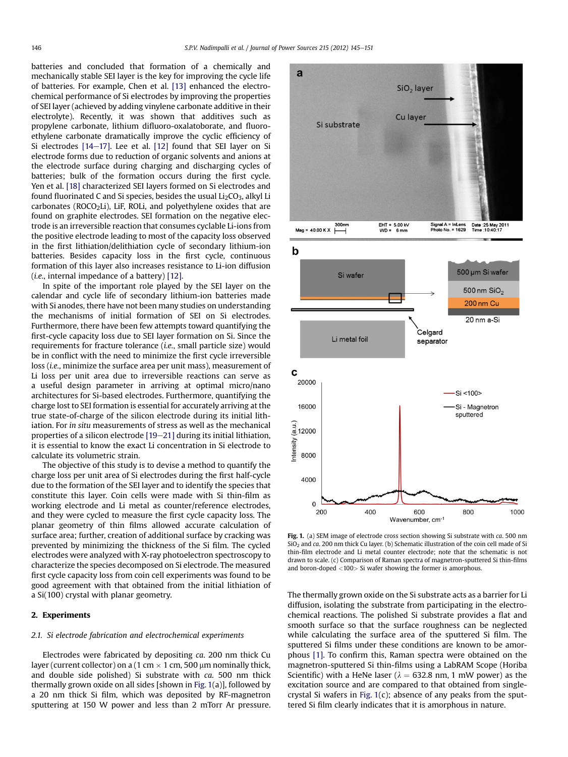<span id="page-1-0"></span>batteries and concluded that formation of a chemically and mechanically stable SEI layer is the key for improving the cycle life of batteries. For example, Chen et al. [\[13\]](#page-5-0) enhanced the electrochemical performance of Si electrodes by improving the properties of SEI layer (achieved by adding vinylene carbonate additive in their electrolyte). Recently, it was shown that additives such as propylene carbonate, lithium difluoro-oxalatoborate, and fluoroethylene carbonate dramatically improve the cyclic efficiency of Si electrodes  $[14-17]$  $[14-17]$  $[14-17]$ . Lee et al.  $[12]$  found that SEI layer on Si electrode forms due to reduction of organic solvents and anions at the electrode surface during charging and discharging cycles of batteries; bulk of the formation occurs during the first cycle. Yen et al. [\[18\]](#page-6-0) characterized SEI layers formed on Si electrodes and found fluorinated C and Si species, besides the usual  $Li<sub>2</sub>CO<sub>3</sub>$ , alkyl Li  $carbonates (ROCO<sub>2</sub>Li)$ , LiF, ROLi, and polyethylene oxides that are found on graphite electrodes. SEI formation on the negative electrode is an irreversible reaction that consumes cyclable Li-ions from the positive electrode leading to most of the capacity loss observed in the first lithiation/delithiation cycle of secondary lithium-ion batteries. Besides capacity loss in the first cycle, continuous formation of this layer also increases resistance to Li-ion diffusion (i.e., internal impedance of a battery) [\[12\]](#page-5-0).

In spite of the important role played by the SEI layer on the calendar and cycle life of secondary lithium-ion batteries made with Si anodes, there have not been many studies on understanding the mechanisms of initial formation of SEI on Si electrodes. Furthermore, there have been few attempts toward quantifying the first-cycle capacity loss due to SEI layer formation on Si. Since the requirements for fracture tolerance (i.e., small particle size) would be in conflict with the need to minimize the first cycle irreversible loss (i.e., minimize the surface area per unit mass), measurement of Li loss per unit area due to irreversible reactions can serve as a useful design parameter in arriving at optimal micro/nano architectures for Si-based electrodes. Furthermore, quantifying the charge lost to SEI formation is essential for accurately arriving at the true state-of-charge of the silicon electrode during its initial lithiation. For in situ measurements of stress as well as the mechanical properties of a silicon electrode  $[19-21]$  $[19-21]$  $[19-21]$  during its initial lithiation, it is essential to know the exact Li concentration in Si electrode to calculate its volumetric strain.

The objective of this study is to devise a method to quantify the charge loss per unit area of Si electrodes during the first half-cycle due to the formation of the SEI layer and to identify the species that constitute this layer. Coin cells were made with Si thin-film as working electrode and Li metal as counter/reference electrodes, and they were cycled to measure the first cycle capacity loss. The planar geometry of thin films allowed accurate calculation of surface area; further, creation of additional surface by cracking was prevented by minimizing the thickness of the Si film. The cycled electrodes were analyzed with X-ray photoelectron spectroscopy to characterize the species decomposed on Si electrode. The measured first cycle capacity loss from coin cell experiments was found to be good agreement with that obtained from the initial lithiation of a Si(100) crystal with planar geometry.

### 2. Experiments

#### 2.1. Si electrode fabrication and electrochemical experiments

Electrodes were fabricated by depositing ca. 200 nm thick Cu layer (current collector) on a (1 cm  $\times$  1 cm, 500 µm nominally thick, and double side polished) Si substrate with ca. 500 nm thick thermally grown oxide on all sides [shown in Fig. 1(a)], followed by a 20 nm thick Si film, which was deposited by RF-magnetron sputtering at 150 W power and less than 2 mTorr Ar pressure.



Fig. 1. (a) SEM image of electrode cross section showing Si substrate with ca. 500 nm SiO2 and ca. 200 nm thick Cu layer. (b) Schematic illustration of the coin cell made of Si thin-film electrode and Li metal counter electrode; note that the schematic is not drawn to scale. (c) Comparison of Raman spectra of magnetron-sputtered Si thin-films and boron-doped <100> Si wafer showing the former is amorphous.

The thermally grown oxide on the Si substrate acts as a barrier for Li diffusion, isolating the substrate from participating in the electrochemical reactions. The polished Si substrate provides a flat and smooth surface so that the surface roughness can be neglected while calculating the surface area of the sputtered Si film. The sputtered Si films under these conditions are known to be amorphous [\[1\].](#page-5-0) To confirm this, Raman spectra were obtained on the magnetron-sputtered Si thin-films using a LabRAM Scope (Horiba Scientific) with a HeNe laser ( $\lambda = 632.8$  nm, 1 mW power) as the excitation source and are compared to that obtained from singlecrystal Si wafers in Fig. 1(c); absence of any peaks from the sputtered Si film clearly indicates that it is amorphous in nature.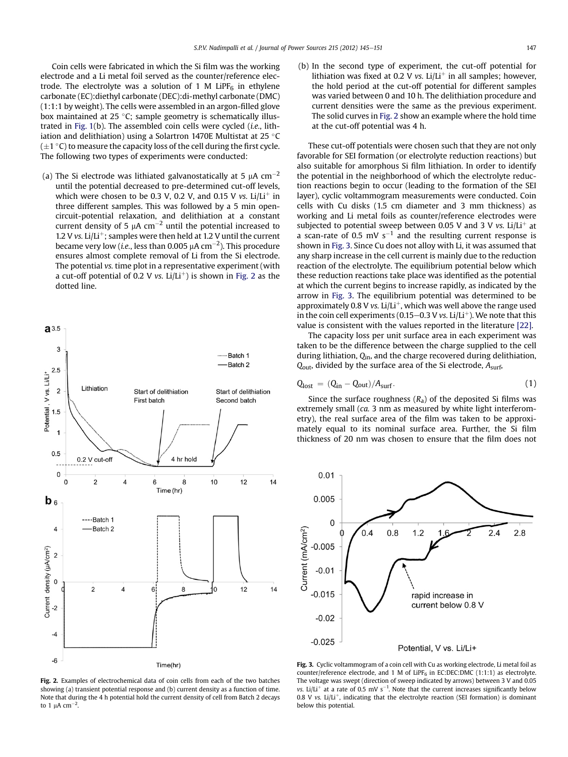Coin cells were fabricated in which the Si film was the working electrode and a Li metal foil served as the counter/reference electrode. The electrolyte was a solution of 1 M LiPF $_6$  in ethylene carbonate (EC):diethyl carbonate (DEC):di-methyl carbonate (DMC) (1:1:1 by weight). The cells were assembled in an argon-filled glove box maintained at 25 $\degree$ C; sample geometry is schematically illustrated in [Fig. 1](#page-1-0)(b). The assembled coin cells were cycled (i.e., lithiation and delithiation) using a Solartron 1470E Multistat at 25  $\degree$ C  $(\pm 1 \degree C)$  to measure the capacity loss of the cell during the first cycle. The following two types of experiments were conducted:

(a) The Si electrode was lithiated galvanostatically at 5  $\mu$ A cm<sup>-2</sup> until the potential decreased to pre-determined cut-off levels, which were chosen to be 0.3 V, 0.2 V, and 0.15 V vs.  $Li/L<sup>+</sup>$  in three different samples. This was followed by a 5 min opencircuit-potential relaxation, and delithiation at a constant current density of 5  $\mu$ A cm $^{-2}$  until the potential increased to 1.2 V vs. Li/Li<sup>+</sup>; samples were then held at 1.2 V until the current became very low (*i.e.*, less than 0.005  $\mu$ A cm $^{-2}$ ). This procedure ensures almost complete removal of Li from the Si electrode. The potential vs. time plot in a representative experiment (with a cut-off potential of 0.2 V vs. Li/Li<sup>+</sup>) is shown in Fig. 2 as the dotted line.



Fig. 2. Examples of electrochemical data of coin cells from each of the two batches showing (a) transient potential response and (b) current density as a function of time. Note that during the 4 h potential hold the current density of cell from Batch 2 decays to 1  $\mu$ A cm<sup>-2</sup>.

(b) In the second type of experiment, the cut-off potential for lithiation was fixed at 0.2 V vs. Li/Li<sup>+</sup> in all samples; however, the hold period at the cut-off potential for different samples was varied between 0 and 10 h. The delithiation procedure and current densities were the same as the previous experiment. The solid curves in Fig. 2 show an example where the hold time at the cut-off potential was 4 h.

These cut-off potentials were chosen such that they are not only favorable for SEI formation (or electrolyte reduction reactions) but also suitable for amorphous Si film lithiation. In order to identify the potential in the neighborhood of which the electrolyte reduction reactions begin to occur (leading to the formation of the SEI layer), cyclic voltammogram measurements were conducted. Coin cells with Cu disks (1.5 cm diameter and 3 mm thickness) as working and Li metal foils as counter/reference electrodes were subjected to potential sweep between 0.05 V and 3 V vs.  $Li/L<sup>+</sup>$  at a scan-rate of 0.5 mV  $s^{-1}$  and the resulting current response is shown in Fig. 3. Since Cu does not alloy with Li, it was assumed that any sharp increase in the cell current is mainly due to the reduction reaction of the electrolyte. The equilibrium potential below which these reduction reactions take place was identified as the potential at which the current begins to increase rapidly, as indicated by the arrow in Fig. 3. The equilibrium potential was determined to be approximately 0.8 V vs.  $Li/Li^{+}$ , which was well above the range used in the coin cell experiments (0.15–0.3 V vs. Li/Li<sup>+</sup>). We note that this value is consistent with the values reported in the literature [\[22\].](#page-6-0)

The capacity loss per unit surface area in each experiment was taken to be the difference between the charge supplied to the cell during lithiation,  $Q_{in}$ , and the charge recovered during delithiation,  $Q_{\text{out}}$ , divided by the surface area of the Si electrode,  $A_{\text{surf}}$ ,

$$
Q_{\text{lost}} = (Q_{\text{in}} - Q_{\text{out}}) / A_{\text{surf}}.
$$
\n(1)

Since the surface roughness  $(R_a)$  of the deposited Si films was extremely small (ca. 3 nm as measured by white light interferometry), the real surface area of the film was taken to be approximately equal to its nominal surface area. Further, the Si film thickness of 20 nm was chosen to ensure that the film does not



Fig. 3. Cyclic voltammogram of a coin cell with Cu as working electrode, Li metal foil as counter/reference electrode, and 1 M of LiPF<sub>6</sub> in EC:DEC:DMC (1:1:1) as electrolyte. The voltage was swept (direction of sweep indicated by arrows) between 3 V and 0.05 vs. Li/Li<sup>+</sup> at a rate of 0.5 mV  $s^{-1}$ . Note that the current increases significantly below 0.8 V vs. Li/Li<sup>+</sup>, indicating that the electrolyte reaction (SEI formation) is dominant below this potential.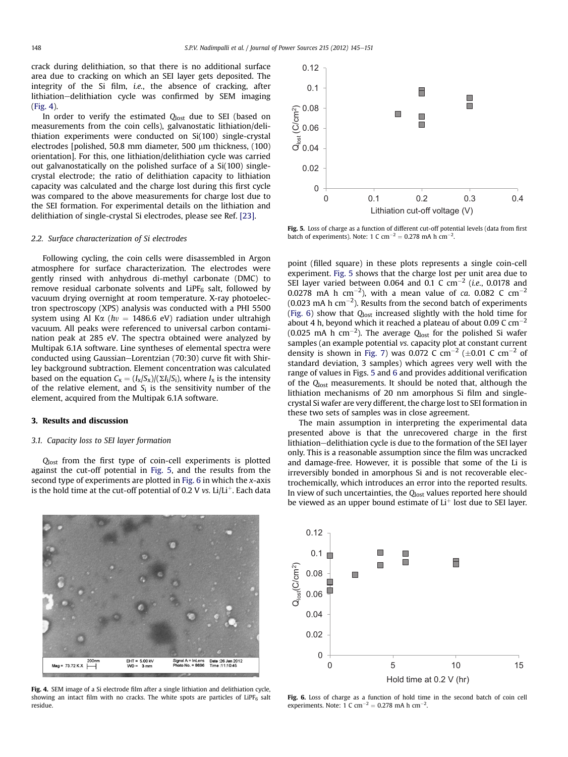crack during delithiation, so that there is no additional surface area due to cracking on which an SEI layer gets deposited. The integrity of the Si film, i.e., the absence of cracking, after lithiation-delithiation cycle was confirmed by SEM imaging (Fig. 4).

In order to verify the estimated  $Q<sub>lost</sub>$  due to SEI (based on measurements from the coin cells), galvanostatic lithiation/delithiation experiments were conducted on Si(100) single-crystal electrodes [polished, 50.8 mm diameter, 500 µm thickness, (100) orientation]. For this, one lithiation/delithiation cycle was carried out galvanostatically on the polished surface of a Si(100) singlecrystal electrode; the ratio of delithiation capacity to lithiation capacity was calculated and the charge lost during this first cycle was compared to the above measurements for charge lost due to the SEI formation. For experimental details on the lithiation and delithiation of single-crystal Si electrodes, please see Ref. [\[23\].](#page-6-0)

#### 2.2. Surface characterization of Si electrodes

Following cycling, the coin cells were disassembled in Argon atmosphere for surface characterization. The electrodes were gently rinsed with anhydrous di-methyl carbonate (DMC) to remove residual carbonate solvents and  $LIPF<sub>6</sub>$  salt, followed by vacuum drying overnight at room temperature. X-ray photoelectron spectroscopy (XPS) analysis was conducted with a PHI 5500 system using Al K $\alpha$  (h $v = 1486.6$  eV) radiation under ultrahigh vacuum. All peaks were referenced to universal carbon contamination peak at 285 eV. The spectra obtained were analyzed by Multipak 6.1A software. Line syntheses of elemental spectra were conducted using Gaussian-Lorentzian (70:30) curve fit with Shirley background subtraction. Element concentration was calculated based on the equation  $C_x = (I_x/S_x)/(\Sigma I_i/S_i)$ , where  $I_x$  is the intensity of the relative element, and  $S_i$  is the sensitivity number of the element, acquired from the Multipak 6.1A software.

### 3. Results and discussion

#### 3.1. Capacity loss to SEI layer formation

Q<sub>lost</sub> from the first type of coin-cell experiments is plotted against the cut-off potential in Fig. 5, and the results from the second type of experiments are plotted in Fig.  $6$  in which the  $x$ -axis is the hold time at the cut-off potential of 0.2 V vs.  $Li/L<sup>+</sup>$ . Each data



Fig. 5. Loss of charge as a function of different cut-off potential levels (data from first batch of experiments). Note:  $1 \text{ C cm}^{-2} = 0.278 \text{ mA h cm}^{-2}$ .

point (filled square) in these plots represents a single coin-cell experiment. Fig. 5 shows that the charge lost per unit area due to SEI layer varied between 0.064 and 0.1 C  $cm^{-2}$  (i.e., 0.0178 and 0.0278 mA h cm<sup>-2</sup>), with a mean value of ca. 0.082 C cm<sup>-2</sup> (0.023 mA h cm<sup>-2</sup>). Results from the second batch of experiments (Fig. 6) show that  $Q<sub>lost</sub>$  increased slightly with the hold time for about 4 h, beyond which it reached a plateau of about 0.09 C  $cm^{-2}$ (0.025 mA h cm<sup>-2</sup>). The average  $Q_{\text{lost}}$  for the polished Si wafer samples (an example potential vs. capacity plot at constant current density is shown in [Fig. 7\)](#page-4-0) was 0.072 C cm<sup>-2</sup> ( $\pm$ 0.01 C cm<sup>-2</sup> of standard deviation, 3 samples) which agrees very well with the range of values in Figs. 5 and 6 and provides additional verification of the  $Q<sub>lost</sub>$  measurements. It should be noted that, although the lithiation mechanisms of 20 nm amorphous Si film and singlecrystal Si wafer are very different, the charge lost to SEI formation in these two sets of samples was in close agreement.

The main assumption in interpreting the experimental data presented above is that the unrecovered charge in the first lithiation-delithiation cycle is due to the formation of the SEI layer only. This is a reasonable assumption since the film was uncracked and damage-free. However, it is possible that some of the Li is irreversibly bonded in amorphous Si and is not recoverable electrochemically, which introduces an error into the reported results. In view of such uncertainties, the  $Q<sub>lost</sub>$  values reported here should be viewed as an upper bound estimate of  $Li<sup>+</sup>$  lost due to SEI layer.



Fig. 4. SEM image of a Si electrode film after a single lithiation and delithiation cycle, showing an intact film with no cracks. The white spots are particles of  $LIPF_6$  salt residue.



Fig. 6. Loss of charge as a function of hold time in the second batch of coin cell experiments. Note: 1 C  $cm^{-2} = 0.278$  mA h  $cm^{-2}$ .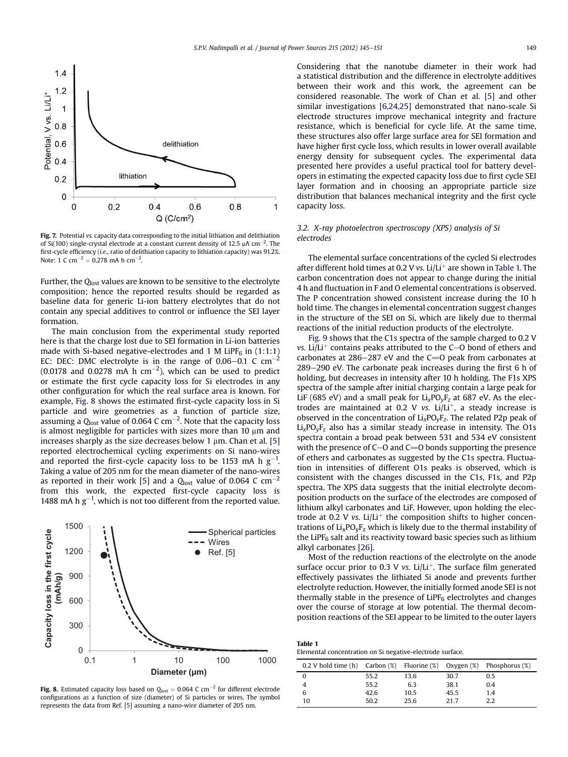<span id="page-4-0"></span>

Fig. 7. Potential vs. capacity data corresponding to the initial lithiation and delithiation of Si(100) single-crystal electrode at a constant current density of 12.5  $\mu$ A cm<sup>-2</sup>. The first-cycle efficiency (i.e., ratio of delithiation capacity to lithiation capacity) was 91.2%. Note: 1 C cm<sup>-2</sup> = 0.278 mA h cm<sup>-2</sup>.

Further, the  $Q<sub>lost</sub>$  values are known to be sensitive to the electrolyte composition; hence the reported results should be regarded as baseline data for generic Li-ion battery electrolytes that do not contain any special additives to control or influence the SEI layer formation.

The main conclusion from the experimental study reported here is that the charge lost due to SEI formation in Li-ion batteries made with Si-based negative-electrodes and 1 M LiPF $<sub>6</sub>$  in (1:1:1)</sub> EC: DEC: DMC electrolyte is in the range of  $0.06-0.1$  C cm<sup>-2</sup> (0.0178 and 0.0278 mA h  $cm^{-2}$ ), which can be used to predict or estimate the first cycle capacity loss for Si electrodes in any other configuration for which the real surface area is known. For example, Fig. 8 shows the estimated first-cycle capacity loss in Si particle and wire geometries as a function of particle size, assuming a  $Q_{\rm lost}$  value of 0.064 C cm $^{-2}$ . Note that the capacity loss is almost negligible for particles with sizes more than  $10 \mu m$  and increases sharply as the size decreases below 1  $\mu$ m. Chan et al. [\[5\]](#page-5-0) reported electrochemical cycling experiments on Si nano-wires and reported the first-cycle capacity loss to be 1153 mA h  $\rm g^{-1}$ . Taking a value of 205 nm for the mean diameter of the nano-wires as reported in their work [\[5\]](#page-5-0) and a  $Q_{\text{lost}}$  value of 0.064 C cm<sup>-2</sup> from this work, the expected first-cycle capacity loss is 1488 mA h  $g^{-1}$ , which is not too different from the reported value.



**Fig. 8.** Estimated capacity loss based on  $Q_{\text{lost}} = 0.064 \text{ C cm}^{-2}$  for different electrode configurations as a function of size (diameter) of Si particles or wires. The symbol represents the data from Ref. [\[5\]](#page-5-0) assuming a nano-wire diameter of 205 nm.

Considering that the nanotube diameter in their work had a statistical distribution and the difference in electrolyte additives between their work and this work, the agreement can be considered reasonable. The work of Chan et al. [\[5\]](#page-5-0) and other similar investigations [\[6,24,25\]](#page-5-0) demonstrated that nano-scale Si electrode structures improve mechanical integrity and fracture resistance, which is beneficial for cycle life. At the same time, these structures also offer large surface area for SEI formation and have higher first cycle loss, which results in lower overall available energy density for subsequent cycles. The experimental data presented here provides a useful practical tool for battery developers in estimating the expected capacity loss due to first cycle SEI layer formation and in choosing an appropriate particle size distribution that balances mechanical integrity and the first cycle capacity loss.

### 3.2. X-ray photoelectron spectroscopy (XPS) analysis of Si electrodes

The elemental surface concentrations of the cycled Si electrodes after different hold times at 0.2 V vs.  $Li/Li^{+}$  are shown in Table 1. The carbon concentration does not appear to change during the initial 4 h and fluctuation in F and O elemental concentrations is observed. The P concentration showed consistent increase during the 10 h hold time. The changes in elemental concentration suggest changes in the structure of the SEI on Si, which are likely due to thermal reactions of the initial reduction products of the electrolyte.

[Fig. 9](#page-5-0) shows that the C1s spectra of the sample charged to 0.2 V vs. Li/Li<sup>+</sup> contains peaks attributed to the C-O bond of ethers and carbonates at  $286-287$  eV and the C $=$ O peak from carbonates at  $289-290$  eV. The carbonate peak increases during the first 6 h of holding, but decreases in intensity after 10 h holding. The F1s XPS spectra of the sample after initial charging contain a large peak for LiF (685 eV) and a small peak for  $Li_xPO_yF_z$  at 687 eV. As the electrodes are maintained at 0.2 V vs.  $Li/Li^{+}$ , a steady increase is observed in the concentration of  $Li_xPO_yF_z$ . The related P2p peak of  $Li_xPO_yF_z$  also has a similar steady increase in intensity. The O1s spectra contain a broad peak between 531 and 534 eV consistent with the presence of  $C$ –O and  $C$ =O bonds supporting the presence of ethers and carbonates as suggested by the C1s spectra. Fluctuation in intensities of different O1s peaks is observed, which is consistent with the changes discussed in the C1s, F1s, and P2p spectra. The XPS data suggests that the initial electrolyte decomposition products on the surface of the electrodes are composed of lithium alkyl carbonates and LiF. However, upon holding the electrode at 0.2 V vs. Li/Li<sup>+</sup> the composition shifts to higher concentrations of  $Li_xPO_yF_z$  which is likely due to the thermal instability of the LiPF $<sub>6</sub>$  salt and its reactivity toward basic species such as lithium</sub> alkyl carbonates [\[26\].](#page-6-0)

Most of the reduction reactions of the electrolyte on the anode surface occur prior to 0.3 V vs.  $Li/L<sup>+</sup>$ . The surface film generated effectively passivates the lithiated Si anode and prevents further electrolyte reduction. However, the initially formed anode SEI is not thermally stable in the presence of  $LipF_6$  electrolytes and changes over the course of storage at low potential. The thermal decomposition reactions of the SEI appear to be limited to the outer layers

Table 1 Elemental concentration on Si negative-electrode surface.

| 0.2 V hold time (h) Carbon $(\%)$ Fluorine $(\%)$ Oxygen $(\%)$ Phosphorus $(\%)$ |      |      |      |     |
|-----------------------------------------------------------------------------------|------|------|------|-----|
|                                                                                   | 55.2 | 13.6 | 30.7 | 0.5 |
|                                                                                   | 55.2 | 6.3  | 38.1 | 0.4 |
| 6                                                                                 | 42.6 | 10.5 | 45.5 | 1.4 |
| 10                                                                                | 50.2 | 25.6 | 21.7 | 2.2 |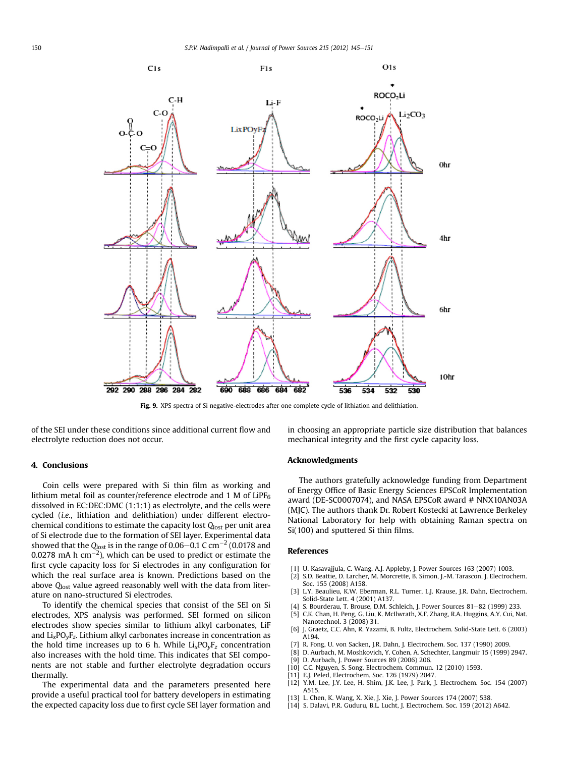<span id="page-5-0"></span>

Fig. 9. XPS spectra of Si negative-electrodes after one complete cycle of lithiation and delithiation.

of the SEI under these conditions since additional current flow and electrolyte reduction does not occur.

in choosing an appropriate particle size distribution that balances mechanical integrity and the first cycle capacity loss.

## 4. Conclusions

Coin cells were prepared with Si thin film as working and lithium metal foil as counter/reference electrode and 1 M of  $LipF_6$ dissolved in EC:DEC:DMC (1:1:1) as electrolyte, and the cells were cycled (i.e., lithiation and delithiation) under different electrochemical conditions to estimate the capacity lost  $Q<sub>lost</sub>$  per unit area of Si electrode due to the formation of SEI layer. Experimental data showed that the  $Q_{\text{lost}}$  is in the range of 0.06–0.1 C cm<sup>-2</sup> (0.0178 and 0.0278 mA h cm<sup>-2</sup>), which can be used to predict or estimate the first cycle capacity loss for Si electrodes in any configuration for which the real surface area is known. Predictions based on the above  $Q<sub>lost</sub>$  value agreed reasonably well with the data from literature on nano-structured Si electrodes.

To identify the chemical species that consist of the SEI on Si electrodes, XPS analysis was performed. SEI formed on silicon electrodes show species similar to lithium alkyl carbonates, LiF and  $Li_xPO_yF_z$ . Lithium alkyl carbonates increase in concentration as the hold time increases up to 6 h. While  $Li_xPO_yF_z$  concentration also increases with the hold time. This indicates that SEI components are not stable and further electrolyte degradation occurs thermally.

The experimental data and the parameters presented here provide a useful practical tool for battery developers in estimating the expected capacity loss due to first cycle SEI layer formation and

### Acknowledgments

The authors gratefully acknowledge funding from Department of Energy Office of Basic Energy Sciences EPSCoR Implementation award (DE-SC0007074), and NASA EPSCoR award # NNX10AN03A (MJC). The authors thank Dr. Robert Kostecki at Lawrence Berkeley National Laboratory for help with obtaining Raman spectra on Si(100) and sputtered Si thin films.

#### References

- 
- [1] U. Kasavajjula, C. Wang, A.J. Appleby, J. Power Sources 163 (2007) 1003. S.D. Beattie, D. Larcher, M. Morcrette, B. Simon, J.-M. Tarascon, J. Electrochem. Soc. 155 (2008) A158.
- [3] L.Y. Beaulieu, K.W. Eberman, R.L. Turner, L.J. Krause, J.R. Dahn, Electrochem. Solid-State Lett. 4 (2001) A137.
- [4] S. Bourderau, T. Brouse, D.M. Schleich, J. Power Sources 81-82 (1999) 233.
- [5] C.K. Chan, H. Peng, G. Liu, K. McIlwrath, X.F. Zhang, R.A. Huggins, A.Y. Cui, Nat. Nanotechnol. 3 (2008) 31.
- [6] J. Graetz, C.C. Ahn, R. Yazami, B. Fultz, Electrochem. Solid-State Lett. 6 (2003) A194.
- [7] R. Fong, U. von Sacken, J.R. Dahn, J. Electrochem. Soc. 137 (1990) 2009.
- [8] D. Aurbach, M. Moshkovich, Y. Cohen, A. Schechter, Langmuir 15 (1999) 2947.
- [9] D. Aurbach, J. Power Sources 89 (2006) 206.
- [10] C.C. Nguyen, S. Song, Electrochem. Commun. 12 (2010) 1593.
- [11] E.J. Peled, Electrochem. Soc. 126 (1979) 2047.
- [12] Y.M. Lee, J.Y. Lee, H. Shim, J.K. Lee, J. Park, J. Electrochem. Soc. 154 (2007) A515.
- [13] L. Chen, K. Wang, X. Xie, J. Xie, J. Power Sources 174 (2007) 538.
- [14] S. Dalavi, P.R. Guduru, B.L. Lucht, J. Electrochem. Soc. 159 (2012) A642.